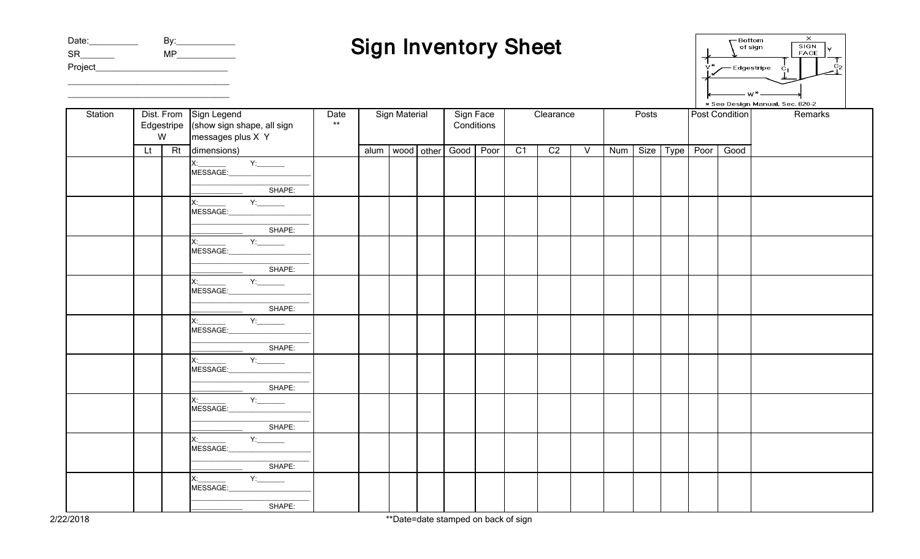| Date:     | By: |
|-----------|-----|
| <b>SR</b> | MP  |
| Project   |     |

\_\_\_\_\_\_\_\_\_\_\_\_\_\_\_\_\_\_\_\_\_\_\_\_\_\_\_\_\_\_\_\_\_ \_\_\_\_\_\_\_\_\_\_\_\_\_\_\_\_\_\_\_\_\_\_\_\_\_\_\_\_\_\_\_\_\_

## Sign Inventory Sheet

| Bottom<br>of sign               | ×<br>SIGN<br><b>FACE</b> |    |  |  |  |  |  |  |  |  |
|---------------------------------|--------------------------|----|--|--|--|--|--|--|--|--|
| - 44<br>Edgestripe<br>$C_{1}$   |                          | Ćэ |  |  |  |  |  |  |  |  |
|                                 |                          |    |  |  |  |  |  |  |  |  |
| * See Design Manual, Sec. 820-2 |                          |    |  |  |  |  |  |  |  |  |

| Station | Dist. From Sign Legend |    |                                                                                                                                                                                                                                                                                                                                                                       | Date | Sign Material |            |            | Sign Face |      | Clearance       |                 |                | Posts |      |      | Post Condition |      | Remarks |
|---------|------------------------|----|-----------------------------------------------------------------------------------------------------------------------------------------------------------------------------------------------------------------------------------------------------------------------------------------------------------------------------------------------------------------------|------|---------------|------------|------------|-----------|------|-----------------|-----------------|----------------|-------|------|------|----------------|------|---------|
|         |                        |    | Edgestripe $\int$ (show sign shape, all sign                                                                                                                                                                                                                                                                                                                          | $**$ |               |            | Conditions |           |      |                 |                 |                |       |      |      |                |      |         |
|         |                        | W  | messages plus X Y                                                                                                                                                                                                                                                                                                                                                     |      |               |            |            |           |      |                 |                 |                |       |      |      |                |      |         |
|         | Lt.                    | Rt | dimensions)                                                                                                                                                                                                                                                                                                                                                           |      | alum          | wood other |            | Good      | Poor | $\overline{C1}$ | $\overline{C2}$ | $\overline{V}$ | Num   | Size | Type | Poor           | Good |         |
|         |                        |    |                                                                                                                                                                                                                                                                                                                                                                       |      |               |            |            |           |      |                 |                 |                |       |      |      |                |      |         |
|         |                        |    |                                                                                                                                                                                                                                                                                                                                                                       |      |               |            |            |           |      |                 |                 |                |       |      |      |                |      |         |
|         |                        |    | SHAPE:                                                                                                                                                                                                                                                                                                                                                                |      |               |            |            |           |      |                 |                 |                |       |      |      |                |      |         |
|         |                        |    | $X:$ $Y:$ $Y:$ $Y:$                                                                                                                                                                                                                                                                                                                                                   |      |               |            |            |           |      |                 |                 |                |       |      |      |                |      |         |
|         |                        |    | MESSAGE:                                                                                                                                                                                                                                                                                                                                                              |      |               |            |            |           |      |                 |                 |                |       |      |      |                |      |         |
|         |                        |    | SHAPE:                                                                                                                                                                                                                                                                                                                                                                |      |               |            |            |           |      |                 |                 |                |       |      |      |                |      |         |
|         |                        |    | $x_1$ and $x_2$ and $x_3$ and $x_4$ and $x_5$ and $x_6$ and $x_7$ and $x_8$ and $x_9$ and $x_1$ and $x_2$ and $x_3$ and $x_4$ and $x_5$ and $x_6$ and $x_7$ and $x_8$ and $x_9$ and $x_1$ and $x_2$ and $x_3$ and $x_4$ and                                                                                                                                           |      |               |            |            |           |      |                 |                 |                |       |      |      |                |      |         |
|         |                        |    | MESSAGE:                                                                                                                                                                                                                                                                                                                                                              |      |               |            |            |           |      |                 |                 |                |       |      |      |                |      |         |
|         |                        |    | SHAPE:                                                                                                                                                                                                                                                                                                                                                                |      |               |            |            |           |      |                 |                 |                |       |      |      |                |      |         |
|         |                        |    | $\begin{picture}(150,10) \put(0,0){\line(1,0){10}} \put(15,0){\line(1,0){10}} \put(15,0){\line(1,0){10}} \put(15,0){\line(1,0){10}} \put(15,0){\line(1,0){10}} \put(15,0){\line(1,0){10}} \put(15,0){\line(1,0){10}} \put(15,0){\line(1,0){10}} \put(15,0){\line(1,0){10}} \put(15,0){\line(1,0){10}} \put(15,0){\line(1,0){10}} \put(15,0){\line($<br>$\overline{X}$ |      |               |            |            |           |      |                 |                 |                |       |      |      |                |      |         |
|         |                        |    | A ________<br>MESSAGE:_                                                                                                                                                                                                                                                                                                                                               |      |               |            |            |           |      |                 |                 |                |       |      |      |                |      |         |
|         |                        |    | SHAPE:                                                                                                                                                                                                                                                                                                                                                                |      |               |            |            |           |      |                 |                 |                |       |      |      |                |      |         |
|         |                        |    |                                                                                                                                                                                                                                                                                                                                                                       |      |               |            |            |           |      |                 |                 |                |       |      |      |                |      |         |
|         |                        |    | MESSAGE:                                                                                                                                                                                                                                                                                                                                                              |      |               |            |            |           |      |                 |                 |                |       |      |      |                |      |         |
|         |                        |    | SHAPE:                                                                                                                                                                                                                                                                                                                                                                |      |               |            |            |           |      |                 |                 |                |       |      |      |                |      |         |
|         |                        |    | $x \longrightarrow$                                                                                                                                                                                                                                                                                                                                                   |      |               |            |            |           |      |                 |                 |                |       |      |      |                |      |         |
|         |                        |    | MESSAGE:                                                                                                                                                                                                                                                                                                                                                              |      |               |            |            |           |      |                 |                 |                |       |      |      |                |      |         |
|         |                        |    | SHAPE:                                                                                                                                                                                                                                                                                                                                                                |      |               |            |            |           |      |                 |                 |                |       |      |      |                |      |         |
|         |                        |    | $\begin{array}{c}\n\hline\n\end{array}$<br>$x_{\cdot}$                                                                                                                                                                                                                                                                                                                |      |               |            |            |           |      |                 |                 |                |       |      |      |                |      |         |
|         |                        |    | MESSAGE:                                                                                                                                                                                                                                                                                                                                                              |      |               |            |            |           |      |                 |                 |                |       |      |      |                |      |         |
|         |                        |    | SHAPE:                                                                                                                                                                                                                                                                                                                                                                |      |               |            |            |           |      |                 |                 |                |       |      |      |                |      |         |
|         |                        |    | X:                                                                                                                                                                                                                                                                                                                                                                    |      |               |            |            |           |      |                 |                 |                |       |      |      |                |      |         |
|         |                        |    | MESSAGE:                                                                                                                                                                                                                                                                                                                                                              |      |               |            |            |           |      |                 |                 |                |       |      |      |                |      |         |
|         |                        |    | SHAPE:                                                                                                                                                                                                                                                                                                                                                                |      |               |            |            |           |      |                 |                 |                |       |      |      |                |      |         |
|         |                        |    | $x_i$                                                                                                                                                                                                                                                                                                                                                                 |      |               |            |            |           |      |                 |                 |                |       |      |      |                |      |         |
|         |                        |    | MESSAGE:                                                                                                                                                                                                                                                                                                                                                              |      |               |            |            |           |      |                 |                 |                |       |      |      |                |      |         |
|         |                        |    | SHAPE:                                                                                                                                                                                                                                                                                                                                                                |      |               |            |            |           |      |                 |                 |                |       |      |      |                |      |         |